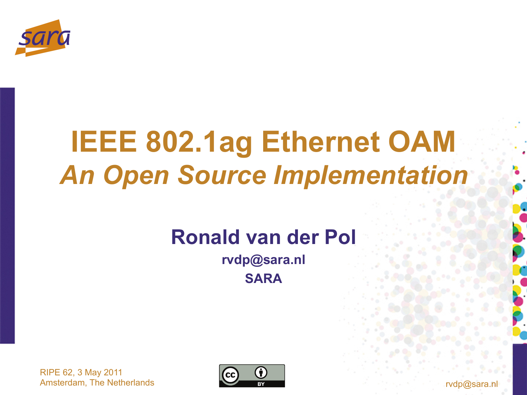

## **IEEE 802.1ag Ethernet OAM**  *An Open Source Implementation*

## **Ronald van der Pol**

**rvdp@sara.nl SARA** 



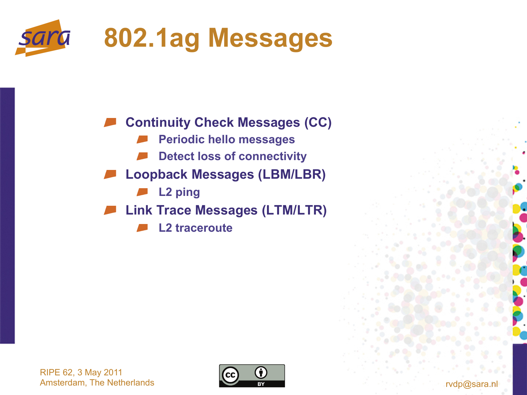

**Continuity Check Messages (CC)** 

- **Periodic hello messages**
- **Detect loss of connectivity**
- **Loopback Messages (LBM/LBR)** 
	- **L2 ping**
- **Link Trace Messages (LTM/LTR)** 
	- **L2 traceroute**

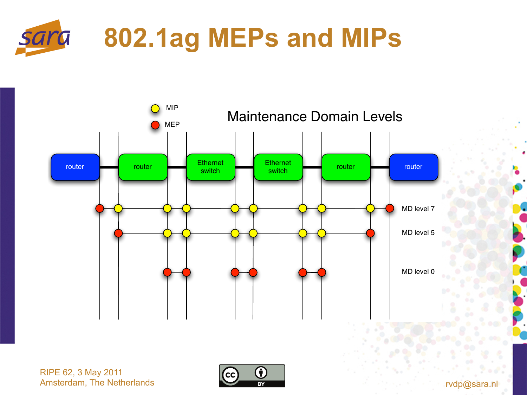





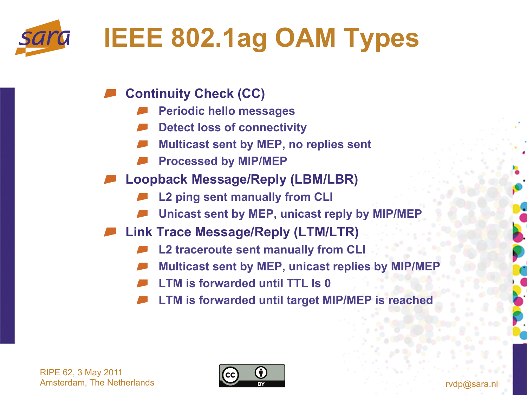

- **Continuity Check (CC)** 
	- **Periodic hello messages**
	- **Detect loss of connectivity**
	- **Multicast sent by MEP, no replies sent**
	- **Processed by MIP/MEP**
- **Loopback Message/Reply (LBM/LBR)** 
	- **L2 ping sent manually from CLI**
	- **Unicast sent by MEP, unicast reply by MIP/MEP**
- **Link Trace Message/Reply (LTM/LTR)** 
	- **L2 traceroute sent manually from CLI**
	- **Multicast sent by MEP, unicast replies by MIP/MEP**
	- **LTM is forwarded until TTL Is 0**
	- **LTM is forwarded until target MIP/MEP is reached**

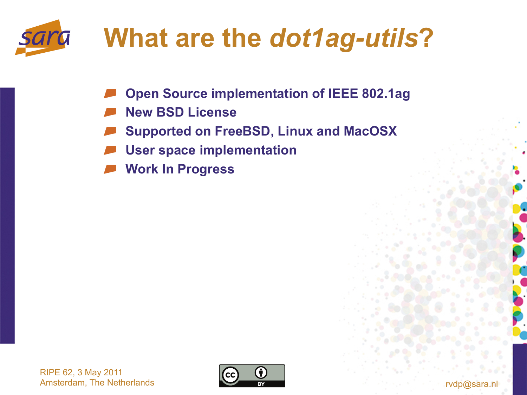

## **What are the** *dot1ag-utils***?**

- **Open Source implementation of IEEE 802.1ag**
- **New BSD License**
- **Supported on FreeBSD, Linux and MacOSX**
- **User space implementation**
- **Work In Progress**

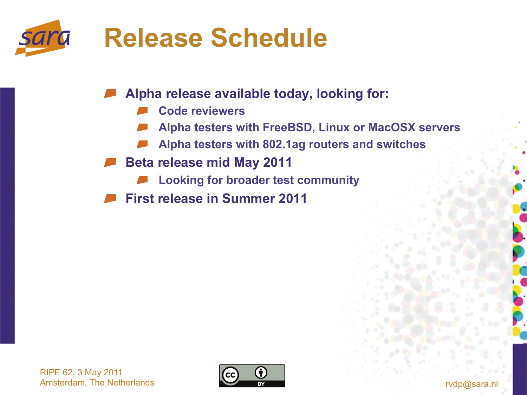

**Alpha release available today, looking for:** 

- **Code reviewers**
- **Alpha testers with FreeBSD, Linux or MacOSX servers**
- **Alpha testers with 802.1ag routers and switches**
- **Beta release mid May 2011** 
	- **Looking for broader test community**
- **First release in Summer 2011**

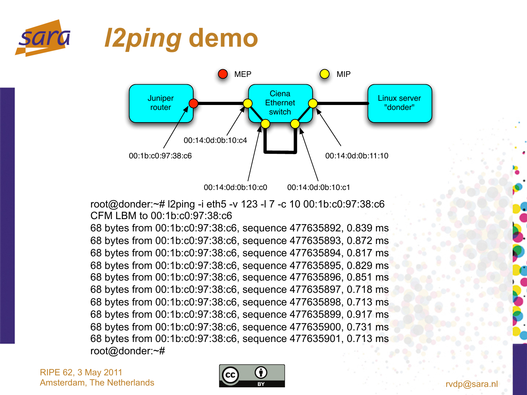



root@donder:~# l2ping -i eth5 -v 123 -l 7 -c 10 00:1b:c0:97:38:c6 CFM LBM to 00:1b:c0:97:38:c6

68 bytes from 00:1b:c0:97:38:c6, sequence 477635892, 0.839 ms 68 bytes from 00:1b:c0:97:38:c6, sequence 477635893, 0.872 ms 68 bytes from 00:1b:c0:97:38:c6, sequence 477635894, 0.817 ms 68 bytes from 00:1b:c0:97:38:c6, sequence 477635895, 0.829 ms 68 bytes from 00:1b:c0:97:38:c6, sequence 477635896, 0.851 ms 68 bytes from 00:1b:c0:97:38:c6, sequence 477635897, 0.718 ms 68 bytes from 00:1b:c0:97:38:c6, sequence 477635898, 0.713 ms 68 bytes from 00:1b:c0:97:38:c6, sequence 477635899, 0.917 ms 68 bytes from 00:1b:c0:97:38:c6, sequence 477635900, 0.731 ms 68 bytes from 00:1b:c0:97:38:c6, sequence 477635901, 0.713 ms root@donder:~#

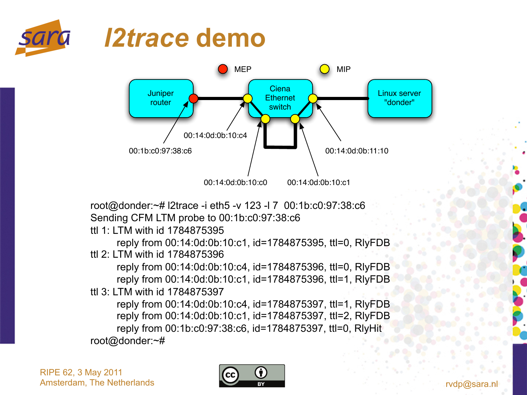





root@donder:~# l2trace -i eth5 -v 123 -l 7 00:1b:c0:97:38:c6 Sending CFM LTM probe to 00:1b:c0:97:38:c6

ttl 1: LTM with id 1784875395

reply from 00:14:0d:0b:10:c1, id=1784875395, ttl=0, RlyFDB ttl 2: LTM with id 1784875396

reply from 00:14:0d:0b:10:c4, id=1784875396, ttl=0, RlyFDB reply from 00:14:0d:0b:10:c1, id=1784875396, ttl=1, RlyFDB ttl 3: LTM with id 1784875397

reply from 00:14:0d:0b:10:c4, id=1784875397, ttl=1, RlyFDB reply from 00:14:0d:0b:10:c1, id=1784875397, ttl=2, RlyFDB reply from 00:1b:c0:97:38:c6, id=1784875397, ttl=0, RlyHit root@donder:~#